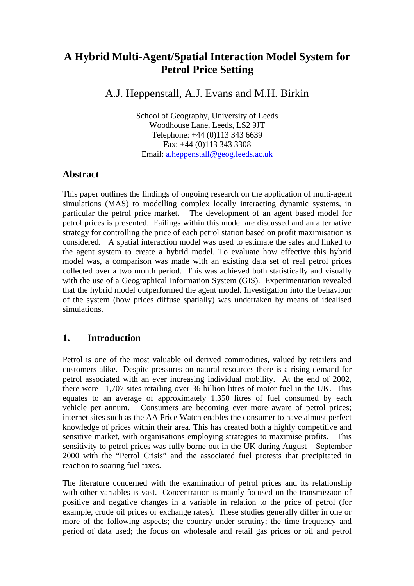# **A Hybrid Multi-Agent/Spatial Interaction Model System for Petrol Price Setting**

A.J. Heppenstall, A.J. Evans and M.H. Birkin

School of Geography, University of Leeds Woodhouse Lane, Leeds, LS2 9JT Telephone: +44 (0)113 343 6639 Fax: +44 (0)113 343 3308 Email: a.heppenstall@geog.leeds.ac.uk

# **Abstract**

This paper outlines the findings of ongoing research on the application of multi-agent simulations (MAS) to modelling complex locally interacting dynamic systems, in particular the petrol price market. The development of an agent based model for petrol prices is presented. Failings within this model are discussed and an alternative strategy for controlling the price of each petrol station based on profit maximisation is considered. A spatial interaction model was used to estimate the sales and linked to the agent system to create a hybrid model. To evaluate how effective this hybrid model was, a comparison was made with an existing data set of real petrol prices collected over a two month period. This was achieved both statistically and visually with the use of a Geographical Information System (GIS). Experimentation revealed that the hybrid model outperformed the agent model. Investigation into the behaviour of the system (how prices diffuse spatially) was undertaken by means of idealised simulations.

# **1. Introduction**

Petrol is one of the most valuable oil derived commodities, valued by retailers and customers alike. Despite pressures on natural resources there is a rising demand for petrol associated with an ever increasing individual mobility. At the end of 2002, there were 11,707 sites retailing over 36 billion litres of motor fuel in the UK. This equates to an average of approximately 1,350 litres of fuel consumed by each vehicle per annum. Consumers are becoming ever more aware of petrol prices; internet sites such as the AA Price Watch enables the consumer to have almost perfect knowledge of prices within their area. This has created both a highly competitive and sensitive market, with organisations employing strategies to maximise profits. This sensitivity to petrol prices was fully borne out in the UK during August – September 2000 with the "Petrol Crisis" and the associated fuel protests that precipitated in reaction to soaring fuel taxes.

The literature concerned with the examination of petrol prices and its relationship with other variables is vast. Concentration is mainly focused on the transmission of positive and negative changes in a variable in relation to the price of petrol (for example, crude oil prices or exchange rates). These studies generally differ in one or more of the following aspects; the country under scrutiny; the time frequency and period of data used; the focus on wholesale and retail gas prices or oil and petrol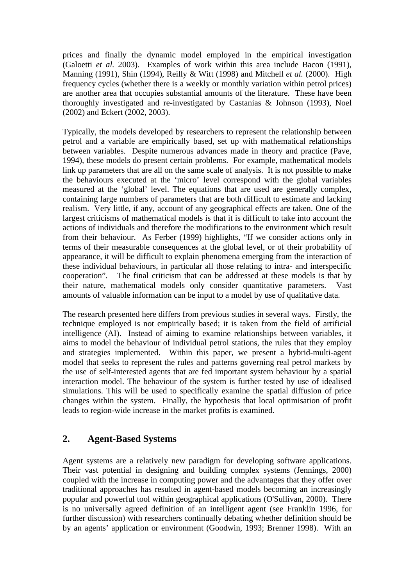prices and finally the dynamic model employed in the empirical investigation (Galoetti *et al.* 2003). Examples of work within this area include Bacon (1991), Manning (1991), Shin (1994), Reilly & Witt (1998) and Mitchell *et al.* (2000). High frequency cycles (whether there is a weekly or monthly variation within petrol prices) are another area that occupies substantial amounts of the literature. These have been thoroughly investigated and re-investigated by Castanias & Johnson (1993), Noel (2002) and Eckert (2002, 2003).

Typically, the models developed by researchers to represent the relationship between petrol and a variable are empirically based, set up with mathematical relationships between variables. Despite numerous advances made in theory and practice (Pave, 1994), these models do present certain problems. For example, mathematical models link up parameters that are all on the same scale of analysis. It is not possible to make the behaviours executed at the 'micro' level correspond with the global variables measured at the 'global' level. The equations that are used are generally complex, containing large numbers of parameters that are both difficult to estimate and lacking realism. Very little, if any, account of any geographical effects are taken. One of the largest criticisms of mathematical models is that it is difficult to take into account the actions of individuals and therefore the modifications to the environment which result from their behaviour. As Ferber (1999) highlights, "If we consider actions only in terms of their measurable consequences at the global level, or of their probability of appearance, it will be difficult to explain phenomena emerging from the interaction of these individual behaviours, in particular all those relating to intra- and interspecific cooperation". The final criticism that can be addressed at these models is that by their nature, mathematical models only consider quantitative parameters. Vast amounts of valuable information can be input to a model by use of qualitative data.

The research presented here differs from previous studies in several ways. Firstly, the technique employed is not empirically based; it is taken from the field of artificial intelligence (AI). Instead of aiming to examine relationships between variables, it aims to model the behaviour of individual petrol stations, the rules that they employ and strategies implemented. Within this paper, we present a hybrid-multi-agent model that seeks to represent the rules and patterns governing real petrol markets by the use of self-interested agents that are fed important system behaviour by a spatial interaction model. The behaviour of the system is further tested by use of idealised simulations. This will be used to specifically examine the spatial diffusion of price changes within the system. Finally, the hypothesis that local optimisation of profit leads to region-wide increase in the market profits is examined.

# **2. Agent-Based Systems**

Agent systems are a relatively new paradigm for developing software applications. Their vast potential in designing and building complex systems (Jennings, 2000) coupled with the increase in computing power and the advantages that they offer over traditional approaches has resulted in agent-based models becoming an increasingly popular and powerful tool within geographical applications (O'Sullivan, 2000). There is no universally agreed definition of an intelligent agent (see Franklin 1996, for further discussion) with researchers continually debating whether definition should be by an agents' application or environment (Goodwin, 1993; Brenner 1998). With an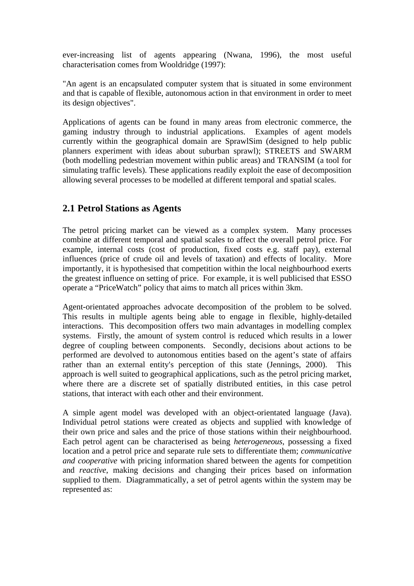ever-increasing list of agents appearing (Nwana, 1996), the most useful characterisation comes from Wooldridge (1997):

"An agent is an encapsulated computer system that is situated in some environment and that is capable of flexible, autonomous action in that environment in order to meet its design objectives".

Applications of agents can be found in many areas from electronic commerce, the gaming industry through to industrial applications. Examples of agent models currently within the geographical domain are SprawlSim (designed to help public planners experiment with ideas about suburban sprawl); STREETS and SWARM (both modelling pedestrian movement within public areas) and TRANSIM (a tool for simulating traffic levels). These applications readily exploit the ease of decomposition allowing several processes to be modelled at different temporal and spatial scales.

### **2.1 Petrol Stations as Agents**

The petrol pricing market can be viewed as a complex system. Many processes combine at different temporal and spatial scales to affect the overall petrol price. For example, internal costs (cost of production, fixed costs e.g. staff pay), external influences (price of crude oil and levels of taxation) and effects of locality. More importantly, it is hypothesised that competition within the local neighbourhood exerts the greatest influence on setting of price. For example, it is well publicised that ESSO operate a "PriceWatch" policy that aims to match all prices within 3km.

Agent-orientated approaches advocate decomposition of the problem to be solved. This results in multiple agents being able to engage in flexible, highly-detailed interactions. This decomposition offers two main advantages in modelling complex systems. Firstly, the amount of system control is reduced which results in a lower degree of coupling between components. Secondly, decisions about actions to be performed are devolved to autonomous entities based on the agent's state of affairs rather than an external entity's perception of this state (Jennings, 2000). This approach is well suited to geographical applications, such as the petrol pricing market, where there are a discrete set of spatially distributed entities, in this case petrol stations, that interact with each other and their environment.

A simple agent model was developed with an object-orientated language (Java). Individual petrol stations were created as objects and supplied with knowledge of their own price and sales and the price of those stations within their neighbourhood. Each petrol agent can be characterised as being *heterogeneous*, possessing a fixed location and a petrol price and separate rule sets to differentiate them; *communicative and cooperative* with pricing information shared between the agents for competition and *reactive*, making decisions and changing their prices based on information supplied to them. Diagrammatically, a set of petrol agents within the system may be represented as: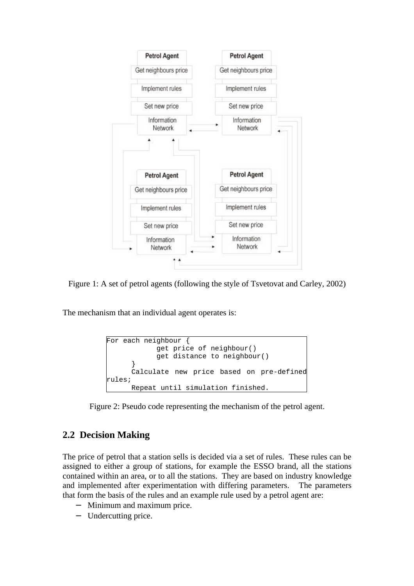

Figure 1: A set of petrol agents (following the style of Tsvetovat and Carley, 2002)

The mechanism that an individual agent operates is:

```
For each neighbour {
            get price of neighbour()
            get distance to neighbour()
      }
      Calculate new price based on pre-defined 
rules;
      Repeat until simulation finished.
```
Figure 2: Pseudo code representing the mechanism of the petrol agent.

## **2.2 Decision Making**

The price of petrol that a station sells is decided via a set of rules. These rules can be assigned to either a group of stations, for example the ESSO brand, all the stations contained within an area, or to all the stations. They are based on industry knowledge and implemented after experimentation with differing parameters. The parameters that form the basis of the rules and an example rule used by a petrol agent are:

- − Minimum and maximum price.
- Undercutting price.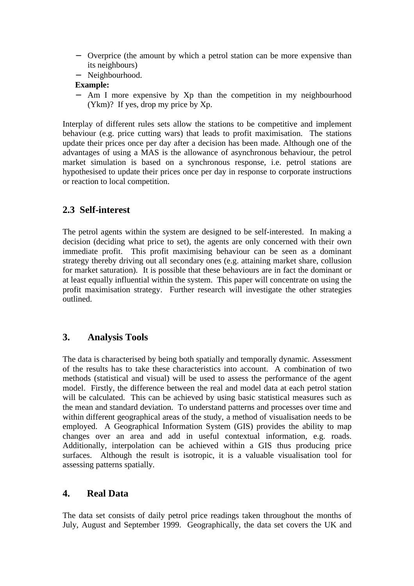- − Overprice (the amount by which a petrol station can be more expensive than its neighbours)
- − Neighbourhood.

#### **Example:**

− Am I more expensive by Xp than the competition in my neighbourhood (Ykm)? If yes, drop my price by Xp.

Interplay of different rules sets allow the stations to be competitive and implement behaviour (e.g. price cutting wars) that leads to profit maximisation. The stations update their prices once per day after a decision has been made. Although one of the advantages of using a MAS is the allowance of asynchronous behaviour, the petrol market simulation is based on a synchronous response, i.e. petrol stations are hypothesised to update their prices once per day in response to corporate instructions or reaction to local competition.

#### **2.3 Self-interest**

The petrol agents within the system are designed to be self-interested. In making a decision (deciding what price to set), the agents are only concerned with their own immediate profit. This profit maximising behaviour can be seen as a dominant strategy thereby driving out all secondary ones (e.g. attaining market share, collusion for market saturation). It is possible that these behaviours are in fact the dominant or at least equally influential within the system. This paper will concentrate on using the profit maximisation strategy. Further research will investigate the other strategies outlined.

#### **3. Analysis Tools**

The data is characterised by being both spatially and temporally dynamic. Assessment of the results has to take these characteristics into account. A combination of two methods (statistical and visual) will be used to assess the performance of the agent model. Firstly, the difference between the real and model data at each petrol station will be calculated. This can be achieved by using basic statistical measures such as the mean and standard deviation. To understand patterns and processes over time and within different geographical areas of the study, a method of visualisation needs to be employed. A Geographical Information System (GIS) provides the ability to map changes over an area and add in useful contextual information, e.g. roads. Additionally, interpolation can be achieved within a GIS thus producing price surfaces. Although the result is isotropic, it is a valuable visualisation tool for assessing patterns spatially.

#### **4. Real Data**

The data set consists of daily petrol price readings taken throughout the months of July, August and September 1999. Geographically, the data set covers the UK and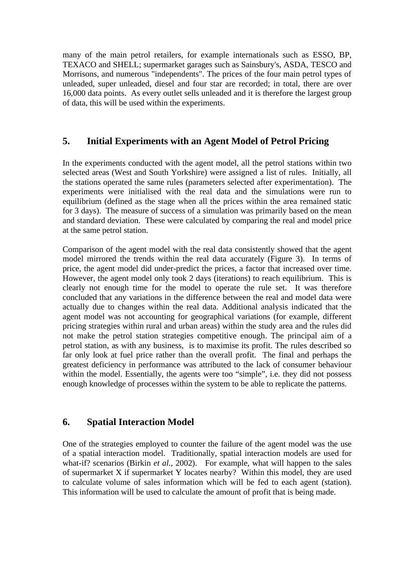many of the main petrol retailers, for example internationals such as ESSO, BP, TEXACO and SHELL; supermarket garages such as Sainsbury's, ASDA, TESCO and Morrisons, and numerous "independents". The prices of the four main petrol types of unleaded, super unleaded, diesel and four star are recorded; in total, there are over 16,000 data points. As every outlet sells unleaded and it is therefore the largest group of data, this will be used within the experiments.

# **5. Initial Experiments with an Agent Model of Petrol Pricing**

In the experiments conducted with the agent model, all the petrol stations within two selected areas (West and South Yorkshire) were assigned a list of rules. Initially, all the stations operated the same rules (parameters selected after experimentation). The experiments were initialised with the real data and the simulations were run to equilibrium (defined as the stage when all the prices within the area remained static for 3 days). The measure of success of a simulation was primarily based on the mean and standard deviation. These were calculated by comparing the real and model price at the same petrol station.

Comparison of the agent model with the real data consistently showed that the agent model mirrored the trends within the real data accurately (Figure 3). In terms of price, the agent model did under-predict the prices, a factor that increased over time. However, the agent model only took 2 days (iterations) to reach equilibrium. This is clearly not enough time for the model to operate the rule set. It was therefore concluded that any variations in the difference between the real and model data were actually due to changes within the real data. Additional analysis indicated that the agent model was not accounting for geographical variations (for example, different pricing strategies within rural and urban areas) within the study area and the rules did not make the petrol station strategies competitive enough. The principal aim of a petrol station, as with any business, is to maximise its profit. The rules described so far only look at fuel price rather than the overall profit. The final and perhaps the greatest deficiency in performance was attributed to the lack of consumer behaviour within the model. Essentially, the agents were too "simple", i.e. they did not possess enough knowledge of processes within the system to be able to replicate the patterns.

#### **6. Spatial Interaction Model**

One of the strategies employed to counter the failure of the agent model was the use of a spatial interaction model. Traditionally, spatial interaction models are used for what-if? scenarios (Birkin *et al.*, 2002). For example, what will happen to the sales of supermarket X if supermarket Y locates nearby? Within this model, they are used to calculate volume of sales information which will be fed to each agent (station). This information will be used to calculate the amount of profit that is being made.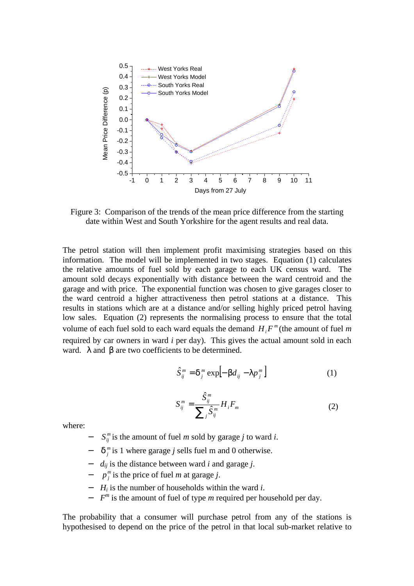

Figure 3: Comparison of the trends of the mean price difference from the starting date within West and South Yorkshire for the agent results and real data.

The petrol station will then implement profit maximising strategies based on this information. The model will be implemented in two stages. Equation (1) calculates the relative amounts of fuel sold by each garage to each UK census ward. The amount sold decays exponentially with distance between the ward centroid and the garage and with price. The exponential function was chosen to give garages closer to the ward centroid a higher attractiveness then petrol stations at a distance. This results in stations which are at a distance and/or selling highly priced petrol having low sales. Equation (2) represents the normalising process to ensure that the total volume of each fuel sold to each ward equals the demand  $H_i F^m$  (the amount of fuel m required by car owners in ward *i* per day). This gives the actual amount sold in each ward *l* and *b* are two coefficients to be determined.

$$
\hat{S}_{ij}^m = \mathbf{d}_j^m \exp\left[-\mathbf{b}d_{ij} - \mathbf{I}p_j^m\right]
$$
 (1)

$$
S_{ij}^m = \frac{\hat{S}_{ij}^m}{\sum_j \hat{S}_{ij}^m} H_i F_m \tag{2}
$$

where:

- −  $S_{ij}^m$  is the amount of fuel *m* sold by garage *j* to ward *i*.
- − *m*  $\mathbf{d}^m_j$  is 1 where garage *j* sells fuel m and 0 otherwise.
- $d_{ij}$  is the distance between ward *i* and garage *j*.
- −  $p_j^m$  is the price of fuel *m* at garage *j*.
- − *H<sup>i</sup>* is the number of households within the ward *i*.
- − *F m* is the amount of fuel of type *m* required per household per day.

The probability that a consumer will purchase petrol from any of the stations is hypothesised to depend on the price of the petrol in that local sub-market relative to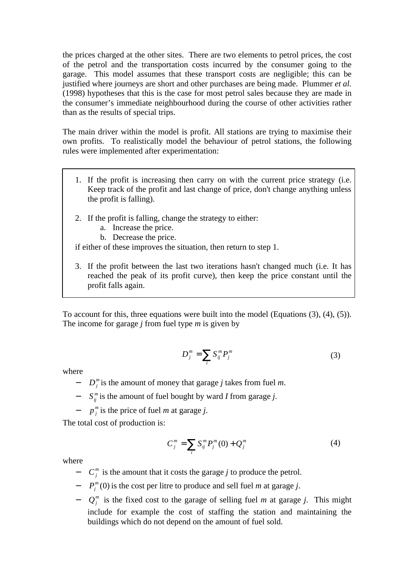the prices charged at the other sites. There are two elements to petrol prices, the cost of the petrol and the transportation costs incurred by the consumer going to the garage. This model assumes that these transport costs are negligible; this can be justified where journeys are short and other purchases are being made. Plummer *et al.* (1998) hypotheses that this is the case for most petrol sales because they are made in the consumer's immediate neighbourhood during the course of other activities rather than as the results of special trips.

The main driver within the model is profit. All stations are trying to maximise their own profits. To realistically model the behaviour of petrol stations, the following rules were implemented after experimentation:

- 1. If the profit is increasing then carry on with the current price strategy (i.e. Keep track of the profit and last change of price, don't change anything unless the profit is falling).
- 2. If the profit is falling, change the strategy to either:
	- a. Increase the price.
	- b. Decrease the price.

if either of these improves the situation, then return to step 1.

3. If the profit between the last two iterations hasn't changed much (i.e. It has reached the peak of its profit curve), then keep the price constant until the profit falls again.

To account for this, three equations were built into the model (Equations (3), (4), (5)). The income for garage *j* from fuel type *m* is given by

$$
D_j^m = \sum_i S_{ij}^m P_j^m \tag{3}
$$

where

- − *m Dj* is the amount of money that garage *j* takes from fuel *m*.
- − *m Sij* is the amount of fuel bought by ward *I* from garage *j*.
- $p_j^m$  is the price of fuel *m* at garage *j*.

The total cost of production is:

$$
C_j^m = \sum_i S_{ij}^m P_j^m(0) + Q_j^m \tag{4}
$$

where

- $-\frac{C_j^m}{j}$  is the amount that it costs the garage *j* to produce the petrol.
- − (0) *m Pj* is the cost per litre to produce and sell fuel *m* at garage *j*.
- $-\frac{Q_j^m}{q}$  is the fixed cost to the garage of selling fuel *m* at garage *j*. This might include for example the cost of staffing the station and maintaining the buildings which do not depend on the amount of fuel sold.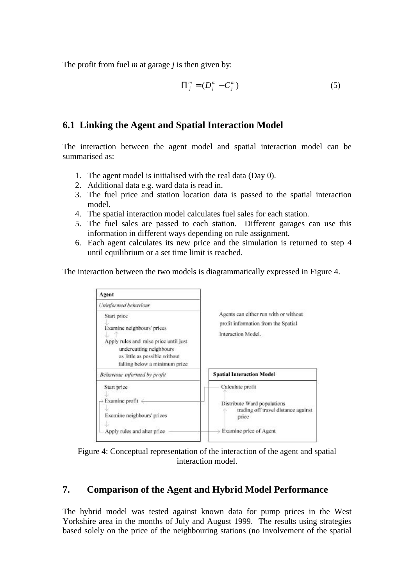The profit from fuel *m* at garage *j* is then given by:

$$
\Pi_j^m = (D_j^m - C_j^m) \tag{5}
$$

# **6.1 Linking the Agent and Spatial Interaction Model**

The interaction between the agent model and spatial interaction model can be summarised as:

- 1. The agent model is initialised with the real data (Day 0).
- 2. Additional data e.g. ward data is read in.
- 3. The fuel price and station location data is passed to the spatial interaction model.
- 4. The spatial interaction model calculates fuel sales for each station.
- 5. The fuel sales are passed to each station. Different garages can use this information in different ways depending on rule assignment.
- 6. Each agent calculates its new price and the simulation is returned to step 4 until equilibrium or a set time limit is reached.

The interaction between the two models is diagrammatically expressed in Figure 4.



Figure 4: Conceptual representation of the interaction of the agent and spatial interaction model.

# **7. Comparison of the Agent and Hybrid Model Performance**

The hybrid model was tested against known data for pump prices in the West Yorkshire area in the months of July and August 1999. The results using strategies based solely on the price of the neighbouring stations (no involvement of the spatial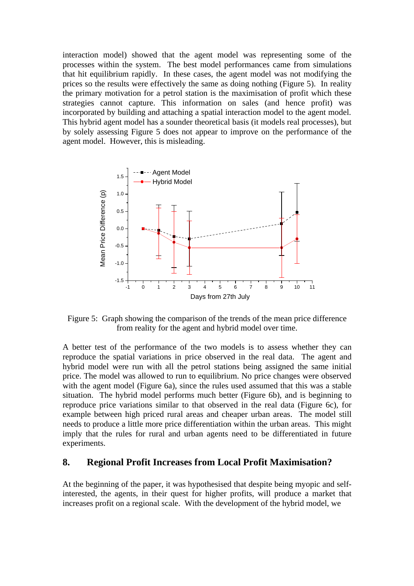interaction model) showed that the agent model was representing some of the processes within the system. The best model performances came from simulations that hit equilibrium rapidly. In these cases, the agent model was not modifying the prices so the results were effectively the same as doing nothing (Figure 5). In reality the primary motivation for a petrol station is the maximisation of profit which these strategies cannot capture. This information on sales (and hence profit) was incorporated by building and attaching a spatial interaction model to the agent model. This hybrid agent model has a sounder theoretical basis (it models real processes), but by solely assessing Figure 5 does not appear to improve on the performance of the agent model. However, this is misleading.



Figure 5: Graph showing the comparison of the trends of the mean price difference from reality for the agent and hybrid model over time.

A better test of the performance of the two models is to assess whether they can reproduce the spatial variations in price observed in the real data. The agent and hybrid model were run with all the petrol stations being assigned the same initial price. The model was allowed to run to equilibrium. No price changes were observed with the agent model (Figure 6a), since the rules used assumed that this was a stable situation. The hybrid model performs much better (Figure 6b), and is beginning to reproduce price variations similar to that observed in the real data (Figure 6c), for example between high priced rural areas and cheaper urban areas. The model still needs to produce a little more price differentiation within the urban areas. This might imply that the rules for rural and urban agents need to be differentiated in future experiments.

#### **8. Regional Profit Increases from Local Profit Maximisation?**

At the beginning of the paper, it was hypothesised that despite being myopic and selfinterested, the agents, in their quest for higher profits, will produce a market that increases profit on a regional scale. With the development of the hybrid model, we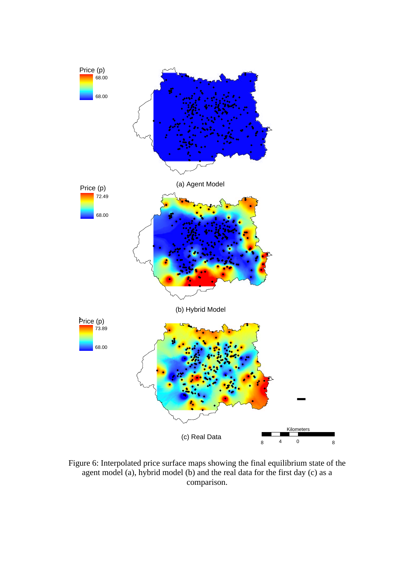

Figure 6: Interpolated price surface maps showing the final equilibrium state of the agent model (a), hybrid model (b) and the real data for the first day (c) as a comparison.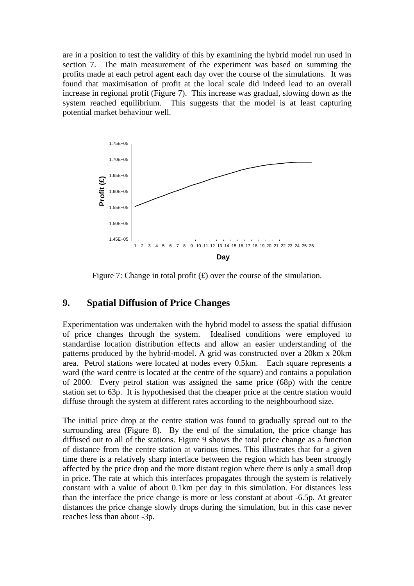are in a position to test the validity of this by examining the hybrid model run used in section 7. The main measurement of the experiment was based on summing the profits made at each petrol agent each day over the course of the simulations. It was found that maximisation of profit at the local scale did indeed lead to an overall increase in regional profit (Figure 7). This increase was gradual, slowing down as the system reached equilibrium. This suggests that the model is at least capturing potential market behaviour well.



Figure 7: Change in total profit  $(f)$  over the course of the simulation.

#### **9. Spatial Diffusion of Price Changes**

Experimentation was undertaken with the hybrid model to assess the spatial diffusion of price changes through the system. Idealised conditions were employed to standardise location distribution effects and allow an easier understanding of the patterns produced by the hybrid-model. A grid was constructed over a 20km x 20km area. Petrol stations were located at nodes every 0.5km. Each square represents a ward (the ward centre is located at the centre of the square) and contains a population of 2000. Every petrol station was assigned the same price (68p) with the centre station set to 63p. It is hypothesised that the cheaper price at the centre station would diffuse through the system at different rates according to the neighbourhood size.

The initial price drop at the centre station was found to gradually spread out to the surrounding area (Figure 8). By the end of the simulation, the price change has diffused out to all of the stations. Figure 9 shows the total price change as a function of distance from the centre station at various times. This illustrates that for a given time there is a relatively sharp interface between the region which has been strongly affected by the price drop and the more distant region where there is only a small drop in price. The rate at which this interfaces propagates through the system is relatively constant with a value of about 0.1km per day in this simulation. For distances less than the interface the price change is more or less constant at about -6.5p. At greater distances the price change slowly drops during the simulation, but in this case never reaches less than about -3p.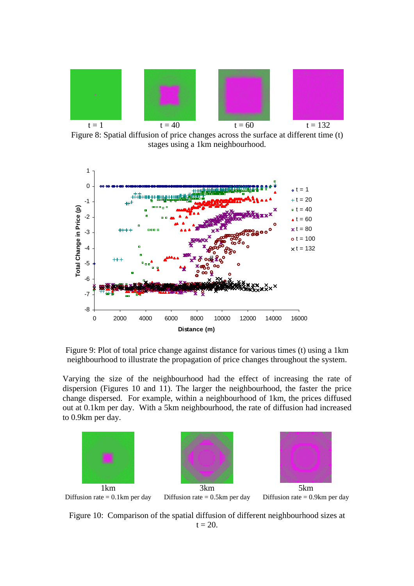

Figure 8: Spatial diffusion of price changes across the surface at different time (t) stages using a 1km neighbourhood.



Figure 9: Plot of total price change against distance for various times (t) using a 1km neighbourhood to illustrate the propagation of price changes throughout the system.

Varying the size of the neighbourhood had the effect of increasing the rate of dispersion (Figures 10 and 11). The larger the neighbourhood, the faster the price change dispersed. For example, within a neighbourhood of 1km, the prices diffused out at 0.1km per day. With a 5km neighbourhood, the rate of diffusion had increased to 0.9km per day.



Figure 10: Comparison of the spatial diffusion of different neighbourhood sizes at  $t = 20.$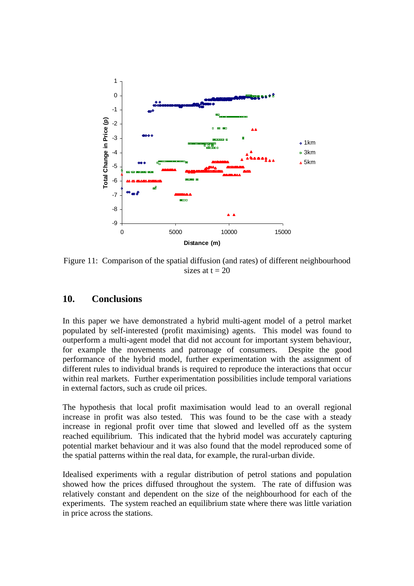

Figure 11: Comparison of the spatial diffusion (and rates) of different neighbourhood sizes at  $t = 20$ 

#### **10. Conclusions**

In this paper we have demonstrated a hybrid multi-agent model of a petrol market populated by self-interested (profit maximising) agents. This model was found to outperform a multi-agent model that did not account for important system behaviour, for example the movements and patronage of consumers. Despite the good performance of the hybrid model, further experimentation with the assignment of different rules to individual brands is required to reproduce the interactions that occur within real markets. Further experimentation possibilities include temporal variations in external factors, such as crude oil prices.

The hypothesis that local profit maximisation would lead to an overall regional increase in profit was also tested. This was found to be the case with a steady increase in regional profit over time that slowed and levelled off as the system reached equilibrium. This indicated that the hybrid model was accurately capturing potential market behaviour and it was also found that the model reproduced some of the spatial patterns within the real data, for example, the rural-urban divide.

Idealised experiments with a regular distribution of petrol stations and population showed how the prices diffused throughout the system. The rate of diffusion was relatively constant and dependent on the size of the neighbourhood for each of the experiments. The system reached an equilibrium state where there was little variation in price across the stations.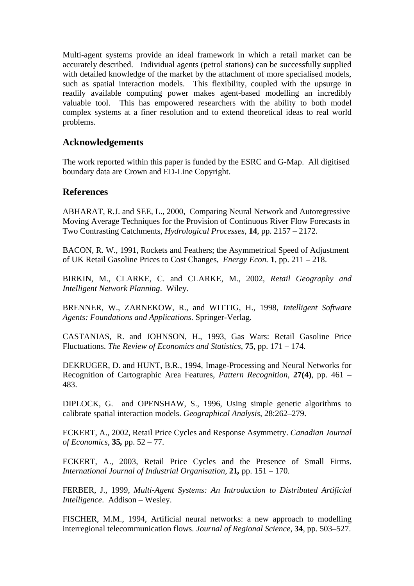Multi-agent systems provide an ideal framework in which a retail market can be accurately described. Individual agents (petrol stations) can be successfully supplied with detailed knowledge of the market by the attachment of more specialised models, such as spatial interaction models. This flexibility, coupled with the upsurge in readily available computing power makes agent-based modelling an incredibly valuable tool. This has empowered researchers with the ability to both model complex systems at a finer resolution and to extend theoretical ideas to real world problems.

#### **Acknowledgements**

The work reported within this paper is funded by the ESRC and G-Map. All digitised boundary data are Crown and ED-Line Copyright.

### **References**

ABHARAT, R.J. and SEE, L., 2000, Comparing Neural Network and Autoregressive Moving Average Techniques for the Provision of Continuous River Flow Forecasts in Two Contrasting Catchments, *Hydrological Processes*, **14**, pp. 2157 – 2172.

BACON, R. W., 1991, Rockets and Feathers; the Asymmetrical Speed of Adjustment of UK Retail Gasoline Prices to Cost Changes, *Energy Econ.* **1**, pp. 211 – 218.

BIRKIN, M., CLARKE, C. and CLARKE, M., 2002, *Retail Geography and Intelligent Network Planning*. Wiley.

BRENNER, W., ZARNEKOW, R., and WITTIG, H., 1998, *Intelligent Software Agents: Foundations and Applications*. Springer-Verlag.

CASTANIAS, R. and JOHNSON, H., 1993, Gas Wars: Retail Gasoline Price Fluctuations. *The Review of Economics and Statistics*, **75**, pp. 171 – 174.

DEKRUGER, D. and HUNT, B.R., 1994, Image-Processing and Neural Networks for Recognition of Cartographic Area Features, *Pattern Recognition*, **27(4)**, pp. 461 – 483.

DIPLOCK, G. and OPENSHAW, S., 1996, Using simple genetic algorithms to calibrate spatial interaction models. *Geographical Analysis*, 28:262–279.

ECKERT, A., 2002, Retail Price Cycles and Response Asymmetry. *Canadian Journal of Economics*, **35***,* pp. 52 – 77.

ECKERT, A., 2003, Retail Price Cycles and the Presence of Small Firms. *International Journal of Industrial Organisation*, **21***,* pp. 151 – 170.

FERBER, J., 1999, *Multi-Agent Systems: An Introduction to Distributed Artificial Intelligence*. Addison – Wesley.

FISCHER, M.M., 1994, Artificial neural networks: a new approach to modelling interregional telecommunication flows. *Journal of Regional Science*, **34**, pp. 503–527.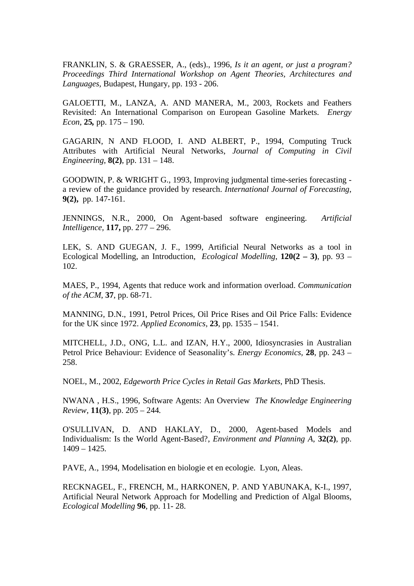FRANKLIN, S. & GRAESSER, A., (eds)., 1996, *Is it an agent, or just a program? Proceedings Third International Workshop on Agent Theories, Architectures and Languages,* Budapest, Hungary, pp. 193 - 206.

GALOETTI, M., LANZA, A. AND MANERA, M., 2003, Rockets and Feathers Revisited: An International Comparison on European Gasoline Markets. *Energy Econ*, **25***,* pp. 175 – 190.

GAGARIN, N AND FLOOD, I. AND ALBERT, P., 1994, Computing Truck Attributes with Artificial Neural Networks, *Journal of Computing in Civil Engineering*, **8(2)**, pp. 131 – 148.

GOODWIN, P. & WRIGHT G., 1993, Improving judgmental time-series forecasting a review of the guidance provided by research. *International Journal of Forecasting*, **9(2),** pp. 147-161.

JENNINGS, N.R., 2000, On Agent-based software engineering. *Artificial Intelligence,* **117,** pp. 277 – 296.

LEK, S. AND GUEGAN, J. F., 1999, Artificial Neural Networks as a tool in Ecological Modelling, an Introduction, *Ecological Modelling*, **120(2 – 3)**, pp. 93 – 102.

MAES, P., 1994, Agents that reduce work and information overload. *Communication of the ACM*, **37**, pp. 68-71.

MANNING, D.N., 1991, Petrol Prices, Oil Price Rises and Oil Price Falls: Evidence for the UK since 1972. *Applied Economics*, **23**, pp. 1535 – 1541.

MITCHELL, J.D., ONG, L.L. and IZAN, H.Y., 2000, Idiosyncrasies in Australian Petrol Price Behaviour: Evidence of Seasonality's. *Energy Economics,* **28**, pp. 243 – 258.

NOEL, M., 2002, *Edgeworth Price Cycles in Retail Gas Markets*, PhD Thesis.

NWANA , H.S., 1996, Software Agents: An Overview *The Knowledge Engineering Review*, **11(3)**, pp. 205 – 244*.*

O'SULLIVAN, D. AND HAKLAY, D., 2000, Agent-based Models and Individualism: Is the World Agent-Based?, *Environment and Planning A*, **32(2)**, pp. 1409 – 1425.

PAVE, A., 1994, Modelisation en biologie et en ecologie. Lyon, Aleas.

RECKNAGEL, F., FRENCH, M., HARKONEN, P. AND YABUNAKA, K-I., 1997, Artificial Neural Network Approach for Modelling and Prediction of Algal Blooms, *Ecological Modelling* **96**, pp. 11- 28.